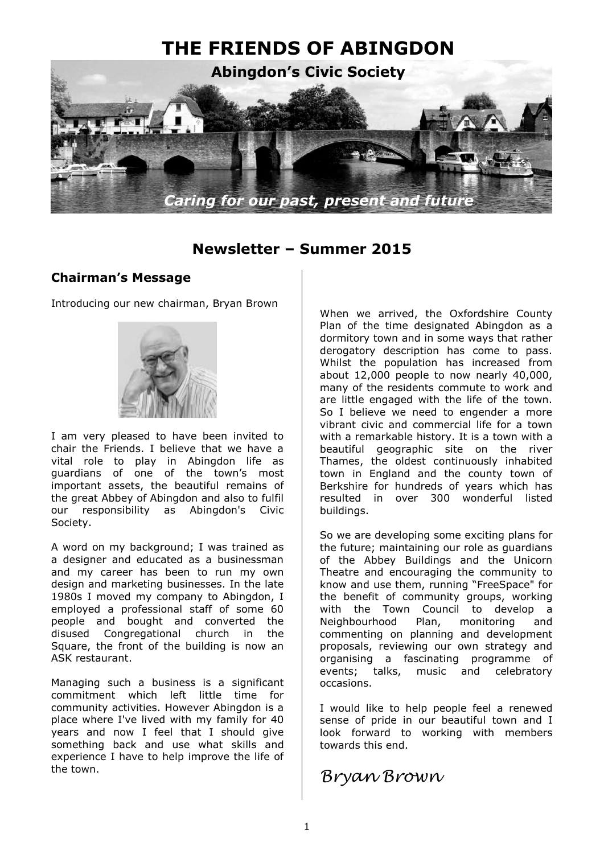

## **Newsletter – Summer 2015**

## **Chairman's Message**

Introducing our new chairman, Bryan Brown



I am very pleased to have been invited to chair the Friends. I believe that we have a vital role to play in Abingdon life as guardians of one of the town's most important assets, the beautiful remains of the great Abbey of Abingdon and also to fulfil our responsibility as Abingdon's Civic Society.

A word on my background; I was trained as a designer and educated as a businessman and my career has been to run my own design and marketing businesses. In the late 1980s I moved my company to Abingdon, I employed a professional staff of some 60 people and bought and converted the disused Congregational church in the Square, the front of the building is now an ASK restaurant.

Managing such a business is a significant commitment which left little time for community activities. However Abingdon is a place where I've lived with my family for 40 years and now I feel that I should give something back and use what skills and experience I have to help improve the life of the town.

When we arrived, the Oxfordshire County Plan of the time designated Abingdon as a dormitory town and in some ways that rather derogatory description has come to pass. Whilst the population has increased from about 12,000 people to now nearly 40,000, many of the residents commute to work and are little engaged with the life of the town. So I believe we need to engender a more vibrant civic and commercial life for a town with a remarkable history. It is a town with a beautiful geographic site on the river Thames, the oldest continuously inhabited town in England and the county town of Berkshire for hundreds of years which has resulted in over 300 wonderful listed buildings.

So we are developing some exciting plans for the future; maintaining our role as guardians of the Abbey Buildings and the Unicorn Theatre and encouraging the community to know and use them, running "FreeSpace" for the benefit of community groups, working with the Town Council to develop a Neighbourhood Plan, monitoring and commenting on planning and development proposals, reviewing our own strategy and organising a fascinating programme of events; talks, music and celebratory occasions.

I would like to help people feel a renewed sense of pride in our beautiful town and I look forward to working with members towards this end.

# *Bryan Brown*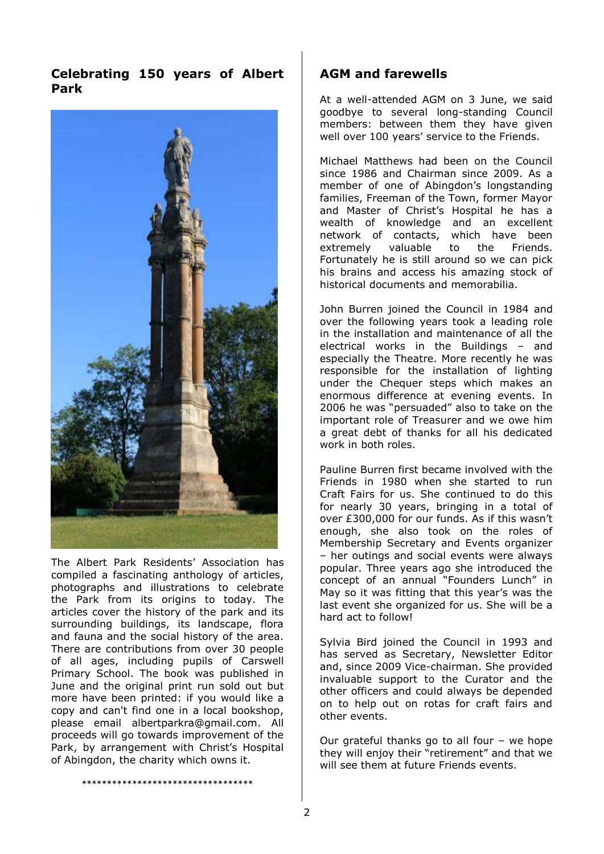## **Celebrating 150 years of Albert Park**



The Albert Park Residents' Association has compiled a fascinating anthology of articles, photographs and illustrations to celebrate the Park from its origins to today. The articles cover the history of the park and its surrounding buildings, its landscape, flora and fauna and the social history of the area. There are contributions from over 30 people of all ages, including pupils of Carswell Primary School. The book was published in June and the original print run sold out but more have been printed: if you would like a copy and can't find one in a local bookshop, please email [albertparkra@gmail.com.](mailto:albertparkra@gmail.com) All proceeds will go towards improvement of the Park, by arrangement with Christ's Hospital of Abingdon, the charity which owns it.

\*\*\*\*\*\*\*\*\*\*\*\*\*\*\*\*\*\*\*\*\*\*\*\*\*\*\*\*\*\*\*\*\*\*

## **AGM and farewells**

At a well-attended AGM on 3 June, we said goodbye to several long-standing Council members: between them they have given well over 100 years' service to the Friends.

Michael Matthews had been on the Council since 1986 and Chairman since 2009. As a member of one of Abingdon's longstanding families, Freeman of the Town, former Mayor and Master of Christ's Hospital he has a wealth of knowledge and an excellent network of contacts, which have been extremely valuable to the Friends. Fortunately he is still around so we can pick his brains and access his amazing stock of historical documents and memorabilia.

John Burren joined the Council in 1984 and over the following years took a leading role in the installation and maintenance of all the electrical works in the Buildings – and especially the Theatre. More recently he was responsible for the installation of lighting under the Chequer steps which makes an enormous difference at evening events. In 2006 he was "persuaded" also to take on the important role of Treasurer and we owe him a great debt of thanks for all his dedicated work in both roles.

Pauline Burren first became involved with the Friends in 1980 when she started to run Craft Fairs for us. She continued to do this for nearly 30 years, bringing in a total of over £300,000 for our funds. As if this wasn't enough, she also took on the roles of Membership Secretary and Events organizer – her outings and social events were always popular. Three years ago she introduced the concept of an annual "Founders Lunch" in May so it was fitting that this year's was the last event she organized for us. She will be a hard act to follow!

Sylvia Bird joined the Council in 1993 and has served as Secretary, Newsletter Editor and, since 2009 Vice-chairman. She provided invaluable support to the Curator and the other officers and could always be depended on to help out on rotas for craft fairs and other events.

Our grateful thanks go to all four – we hope they will enjoy their "retirement" and that we will see them at future Friends events.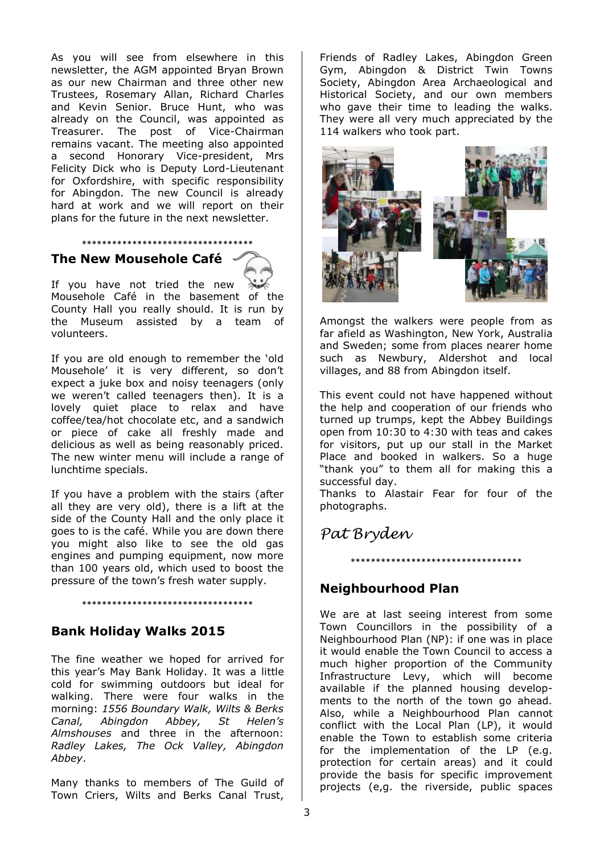As you will see from elsewhere in this newsletter, the AGM appointed Bryan Brown as our new Chairman and three other new Trustees, Rosemary Allan, Richard Charles and Kevin Senior. Bruce Hunt, who was already on the Council, was appointed as Treasurer. The post of Vice-Chairman remains vacant. The meeting also appointed a second Honorary Vice-president, Mrs Felicity Dick who is Deputy Lord-Lieutenant for Oxfordshire, with specific responsibility for Abingdon. The new Council is already hard at work and we will report on their plans for the future in the next newsletter.

## \*\*\*\*\*\*\*\*\*\*\*\*\*\*\*\*\*\*\*\*\*\*\*\*\*\*\*\*\*\*\*\*\*\*

## **The New Mousehole Café**

If you have not tried the new Mousehole Café in the basement of the County Hall you really should. It is run by the Museum assisted by a team of volunteers.

If you are old enough to remember the 'old Mousehole' it is very different, so don't expect a juke box and noisy teenagers (only we weren't called teenagers then). It is a lovely quiet place to relax and have coffee/tea/hot chocolate etc, and a sandwich or piece of cake all freshly made and delicious as well as being reasonably priced. The new winter menu will include a range of lunchtime specials.

If you have a problem with the stairs (after all they are very old), there is a lift at the side of the County Hall and the only place it goes to is the café. While you are down there you might also like to see the old gas engines and pumping equipment, now more than 100 years old, which used to boost the pressure of the town's fresh water supply.

#### \*\*\*\*\*\*\*\*\*\*\*\*\*\*\*\*\*\*\*\*\*\*\*\*\*\*\*\*\*\*\*\*\*\*

## **Bank Holiday Walks 2015**

The fine weather we hoped for arrived for this year's May Bank Holiday. It was a little cold for swimming outdoors but ideal for walking. There were four walks in the morning: *1556 Boundary Walk, Wilts & Berks Canal, Abingdon Abbey, St Helen's Almshouses* and three in the afternoon: *Radley Lakes, The Ock Valley, Abingdon Abbey*.

Many thanks to members of The Guild of Town Criers, Wilts and Berks Canal Trust, Friends of Radley Lakes, Abingdon Green Gym, Abingdon & District Twin Towns Society, Abingdon Area Archaeological and Historical Society, and our own members who gave their time to leading the walks. They were all very much appreciated by the 114 walkers who took part.



Amongst the walkers were people from as far afield as Washington, New York, Australia and Sweden; some from places nearer home such as Newbury, Aldershot and local villages, and 88 from Abingdon itself.

This event could not have happened without the help and cooperation of our friends who turned up trumps, kept the Abbey Buildings open from 10:30 to 4:30 with teas and cakes for visitors, put up our stall in the Market Place and booked in walkers. So a huge "thank you" to them all for making this a successful day. Thanks to Alastair Fear for four of the

\*\*\*\*\*\*\*\*\*\*\*\*\*\*\*\*\*\*\*\*\*\*\*\*\*\*\*\*\*\*\*\*\*\*

*Pat Bryden* 

photographs.

# **Neighbourhood Plan**

We are at last seeing interest from some Town Councillors in the possibility of a Neighbourhood Plan (NP): if one was in place it would enable the Town Council to access a much higher proportion of the Community Infrastructure Levy, which will become available if the planned housing developments to the north of the town go ahead. Also, while a Neighbourhood Plan cannot conflict with the Local Plan (LP), it would enable the Town to establish some criteria for the implementation of the LP (e.g. protection for certain areas) and it could provide the basis for specific improvement projects (e,g. the riverside, public spaces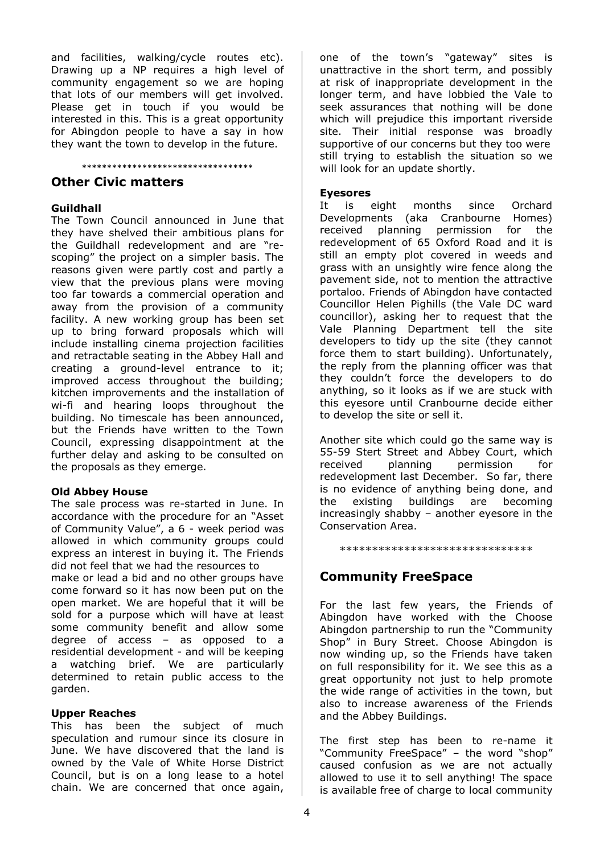and facilities, walking/cycle routes etc). Drawing up a NP requires a high level of community engagement so we are hoping that lots of our members will get involved. Please get in touch if you would be interested in this. This is a great opportunity for Abingdon people to have a say in how they want the town to develop in the future.

#### \*\*\*\*\*\*\*\*\*\*\*\*\*\*\*\*\*\*\*\*\*\*\*\*\*\*\*\*\*\*\*\*\*\*

## **Other Civic matters**

#### **Guildhall**

The Town Council announced in June that they have shelved their ambitious plans for the Guildhall redevelopment and are "rescoping" the project on a simpler basis. The reasons given were partly cost and partly a view that the previous plans were moving too far towards a commercial operation and away from the provision of a community facility. A new working group has been set up to bring forward proposals which will include installing cinema projection facilities and retractable seating in the Abbey Hall and creating a ground-level entrance to it; improved access throughout the building; kitchen improvements and the installation of wi-fi and hearing loops throughout the building. No timescale has been announced, but the Friends have written to the Town Council, expressing disappointment at the further delay and asking to be consulted on the proposals as they emerge.

#### **Old Abbey House**

The sale process was re-started in June. In accordance with the procedure for an "Asset of Community Value", a 6 - week period was allowed in which community groups could express an interest in buying it. The Friends did not feel that we had the resources to

make or lead a bid and no other groups have come forward so it has now been put on the open market. We are hopeful that it will be sold for a purpose which will have at least some community benefit and allow some degree of access – as opposed to a residential development - and will be keeping a watching brief. We are particularly determined to retain public access to the garden.

#### **Upper Reaches**

This has been the subject of much speculation and rumour since its closure in June. We have discovered that the land is owned by the Vale of White Horse District Council, but is on a long lease to a hotel chain. We are concerned that once again,

one of the town's "gateway" sites is unattractive in the short term, and possibly at risk of inappropriate development in the longer term, and have lobbied the Vale to seek assurances that nothing will be done which will prejudice this important riverside site. Their initial response was broadly supportive of our concerns but they too were still trying to establish the situation so we will look for an update shortly.

#### **Eyesores**

It is eight months since Orchard Developments (aka Cranbourne Homes) received planning permission for the redevelopment of 65 Oxford Road and it is still an empty plot covered in weeds and grass with an unsightly wire fence along the pavement side, not to mention the attractive portaloo. Friends of Abingdon have contacted Councillor Helen Pighills (the Vale DC ward councillor), asking her to request that the Vale Planning Department tell the site developers to tidy up the site (they cannot force them to start building). Unfortunately, the reply from the planning officer was that they couldn't force the developers to do anything, so it looks as if we are stuck with this eyesore until Cranbourne decide either to develop the site or sell it.

Another site which could go the same way is 55-59 Stert Street and Abbey Court, which received planning permission for redevelopment last December. So far, there is no evidence of anything being done, and the existing buildings are becoming increasingly shabby – another eyesore in the Conservation Area.

\*\*\*\*\*\*\*\*\*\*\*\*\*\*\*\*\*\*\*\*\*\*\*\*\*\*\*\*\*\*

## **Community FreeSpace**

For the last few years, the Friends of Abingdon have worked with the Choose Abingdon partnership to run the "Community Shop" in Bury Street. Choose Abingdon is now winding up, so the Friends have taken on full responsibility for it. We see this as a great opportunity not just to help promote the wide range of activities in the town, but also to increase awareness of the Friends and the Abbey Buildings.

The first step has been to re-name it "Community FreeSpace" – the word "shop" caused confusion as we are not actually allowed to use it to sell anything! The space is available free of charge to local community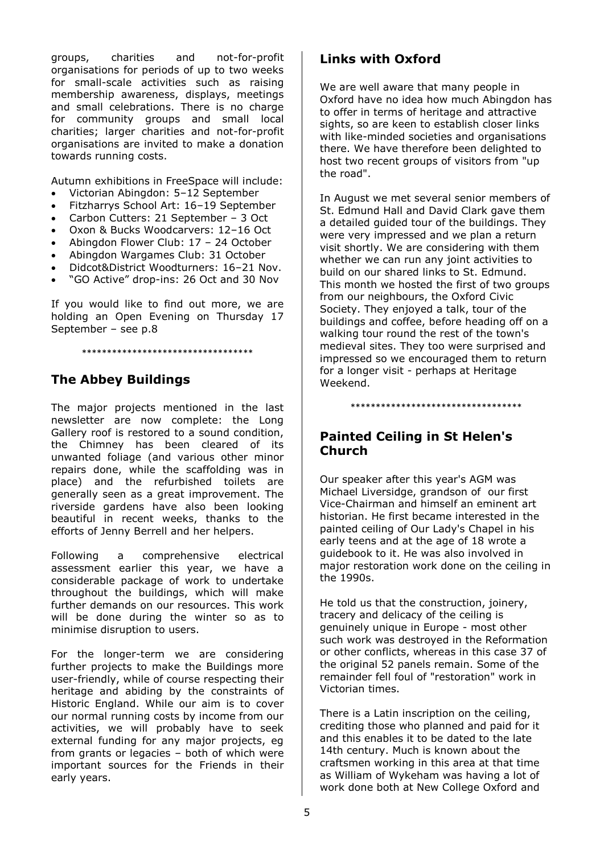groups, charities and not-for-profit organisations for periods of up to two weeks for small-scale activities such as raising membership awareness, displays, meetings and small celebrations. There is no charge for community groups and small local charities; larger charities and not-for-profit organisations are invited to make a donation towards running costs.

Autumn exhibitions in FreeSpace will include:

- Victorian Abingdon: 5–12 September
- Fitzharrys School Art: 16–19 September
- Carbon Cutters: 21 September 3 Oct
- Oxon & Bucks Woodcarvers: 12–16 Oct
- Abingdon Flower Club: 17 24 October
- Abingdon Wargames Club: 31 October
- Didcot&District Woodturners: 16–21 Nov.
- "GO Active" drop-ins: 26 Oct and 30 Nov

If you would like to find out more, we are holding an Open Evening on Thursday 17 September – see p.8

\*\*\*\*\*\*\*\*\*\*\*\*\*\*\*\*\*\*\*\*\*\*\*\*\*\*\*\*\*\*\*\*\*\*

## **The Abbey Buildings**

The major projects mentioned in the last newsletter are now complete: the Long Gallery roof is restored to a sound condition, the Chimney has been cleared of its unwanted foliage (and various other minor repairs done, while the scaffolding was in place) and the refurbished toilets are generally seen as a great improvement. The riverside gardens have also been looking beautiful in recent weeks, thanks to the efforts of Jenny Berrell and her helpers.

Following a comprehensive electrical assessment earlier this year, we have a considerable package of work to undertake throughout the buildings, which will make further demands on our resources. This work will be done during the winter so as to minimise disruption to users.

For the longer-term we are considering further projects to make the Buildings more user-friendly, while of course respecting their heritage and abiding by the constraints of Historic England. While our aim is to cover our normal running costs by income from our activities, we will probably have to seek external funding for any major projects, eg from grants or legacies – both of which were important sources for the Friends in their early years.

## **Links with Oxford**

We are well aware that many people in Oxford have no idea how much Abingdon has to offer in terms of heritage and attractive sights, so are keen to establish closer links with like-minded societies and organisations there. We have therefore been delighted to host two recent groups of visitors from "up the road".

In August we met several senior members of St. Edmund Hall and David Clark gave them a detailed guided tour of the buildings. They were very impressed and we plan a return visit shortly. We are considering with them whether we can run any joint activities to build on our shared links to St. Edmund. This month we hosted the first of two groups from our neighbours, the Oxford Civic Society. They enjoyed a talk, tour of the buildings and coffee, before heading off on a walking tour round the rest of the town's medieval sites. They too were surprised and impressed so we encouraged them to return for a longer visit - perhaps at Heritage Weekend.

\*\*\*\*\*\*\*\*\*\*\*\*\*\*\*\*\*\*\*\*\*\*\*\*\*\*\*\*\*\*\*\*\*\*

## **Painted Ceiling in St Helen's Church**

Our speaker after this year's AGM was Michael Liversidge, grandson of our first Vice-Chairman and himself an eminent art historian. He first became interested in the painted ceiling of Our Lady's Chapel in his early teens and at the age of 18 wrote a guidebook to it. He was also involved in major restoration work done on the ceiling in the 1990s.

He told us that the construction, joinery, tracery and delicacy of the ceiling is genuinely unique in Europe - most other such work was destroyed in the Reformation or other conflicts, whereas in this case 37 of the original 52 panels remain. Some of the remainder fell foul of "restoration" work in Victorian times.

There is a Latin inscription on the ceiling, crediting those who planned and paid for it and this enables it to be dated to the late 14th century. Much is known about the craftsmen working in this area at that time as William of Wykeham was having a lot of work done both at New College Oxford and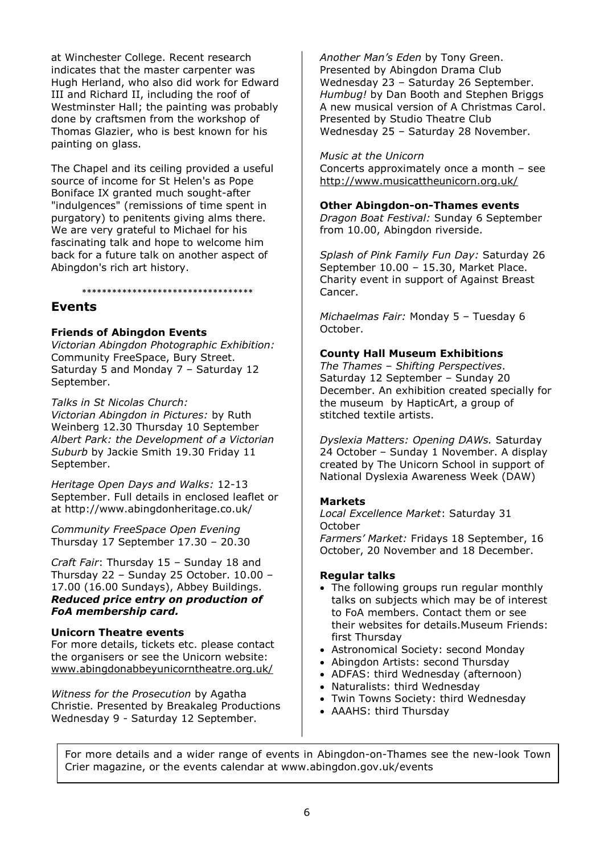at Winchester College. Recent research indicates that the master carpenter was Hugh Herland, who also did work for Edward III and Richard II, including the roof of Westminster Hall; the painting was probably done by craftsmen from the workshop of Thomas Glazier, who is best known for his painting on glass.

The Chapel and its ceiling provided a useful source of income for St Helen's as Pope Boniface IX granted much sought-after "indulgences" (remissions of time spent in purgatory) to penitents giving alms there. We are very grateful to Michael for his fascinating talk and hope to welcome him back for a future talk on another aspect of Abingdon's rich art history.

\*\*\*\*\*\*\*\*\*\*\*\*\*\*\*\*\*\*\*\*\*\*\*\*\*\*\*\*\*\*\*\*\*\*

## **Events**

## **Friends of Abingdon Events**

*Victorian Abingdon Photographic Exhibition:*  Community FreeSpace, Bury Street. Saturday 5 and Monday 7 – Saturday 12 September.

*Talks in St Nicolas Church: Victorian Abingdon in Pictures:* by Ruth Weinberg 12.30 Thursday 10 September *Albert Park: the Development of a Victorian Suburb* by Jackie Smith 19.30 Friday 11 September.

*Heritage Open Days and Walks:* 12-13 September. Full details in enclosed leaflet or at<http://www.abingdonheritage.co.uk/>

*Community FreeSpace Open Evening* Thursday 17 September 17.30 – 20.30

*Craft Fair*: Thursday 15 – Sunday 18 and Thursday 22 – Sunday 25 October. 10.00 – 17.00 (16.00 Sundays), Abbey Buildings. *Reduced price entry on production of FoA membership card.*

## **Unicorn Theatre events**

For more details, tickets etc. please contact the organisers or see the Unicorn website: [www.abingdonabbeyunicorntheatre.org.uk/](http://www.abingdonabbeyunicorntheatre.org.uk/)

*Witness for the Prosecution* by Agatha Christie. Presented by Breakaleg Productions Wednesday 9 - Saturday 12 September.

*Another Man's Eden* by Tony Green. Presented by Abingdon Drama Club Wednesday 23 – Saturday 26 September. *Humbug!* by Dan Booth and Stephen Briggs A new musical version of A Christmas Carol. Presented by Studio Theatre Club Wednesday 25 – Saturday 28 November.

#### *Music at the Unicorn*

Concerts approximately once a month – see <http://www.musicattheunicorn.org.uk/>

#### **Other Abingdon-on-Thames events**

*Dragon Boat Festival:* Sunday 6 September from 10.00, Abingdon riverside.

*Splash of Pink Family Fun Day:* Saturday 26 September 10.00 – 15.30, Market Place. Charity event in support of Against Breast Cancer.

*Michaelmas Fair:* Monday 5 – Tuesday 6 October.

#### **County Hall Museum Exhibitions**

*The Thames – Shifting Perspectives*. Saturday 12 September – Sunday 20 December. An exhibition created specially for the museum by HapticArt, a group of stitched textile artists.

*Dyslexia Matters: Opening DAWs.* Saturday 24 October – Sunday 1 November. A display created by The Unicorn School in support of National Dyslexia Awareness Week (DAW)

## **Markets**

*Local Excellence Market*: Saturday 31 **October** *Farmers' Market:* Fridays 18 September, 16 October, 20 November and 18 December.

## **Regular talks**

- The following groups run regular monthly talks on subjects which may be of interest to FoA members. Contact them or see their websites for details.Museum Friends: first Thursday
- Astronomical Society: second Monday
- Abingdon Artists: second Thursday
- ADFAS: third Wednesday (afternoon)
- Naturalists: third Wednesdav
- Twin Towns Society: third Wednesday
- AAAHS: third Thursday

For more details and a wider range of events in Abingdon-on-Thames see the new-look Town Crier magazine, or the events calendar at www.abingdon.gov.uk/events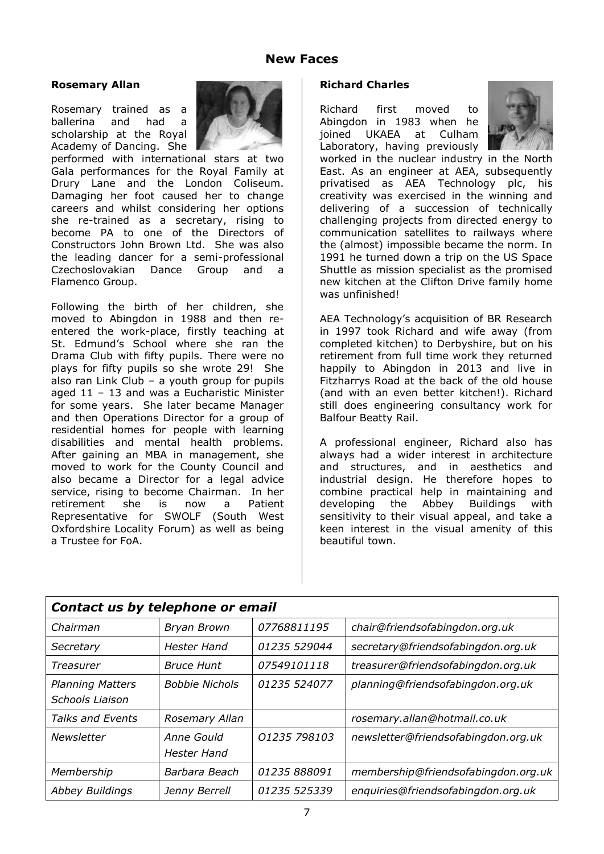## **New Faces**

#### **Rosemary Allan**

Rosemary trained as a ballerina and had a scholarship at the Royal Academy of Dancing. She



performed with international stars at two Gala performances for the Royal Family at Drury Lane and the London Coliseum. Damaging her foot caused her to change careers and whilst considering her options she re-trained as a secretary, rising to become PA to one of the Directors of Constructors John Brown Ltd. She was also the leading dancer for a semi-professional Czechoslovakian Dance Group and a Flamenco Group.

Following the birth of her children, she moved to Abingdon in 1988 and then reentered the work-place, firstly teaching at St. Edmund's School where she ran the Drama Club with fifty pupils. There were no plays for fifty pupils so she wrote 29! She also ran Link Club – a youth group for pupils aged 11 - 13 and was a Eucharistic Minister for some years. She later became Manager and then Operations Director for a group of residential homes for people with learning disabilities and mental health problems. After gaining an MBA in management, she moved to work for the County Council and also became a Director for a legal advice service, rising to become Chairman. In her retirement she is now a Patient Representative for SWOLF (South West Oxfordshire Locality Forum) as well as being a Trustee for FoA.

#### **Richard Charles**

Richard first moved to Abingdon in 1983 when he joined UKAEA at Culham Laboratory, having previously



worked in the nuclear industry in the North East. As an engineer at AEA, subsequently privatised as AEA Technology plc, his creativity was exercised in the winning and delivering of a succession of technically challenging projects from directed energy to communication satellites to railways where the (almost) impossible became the norm. In 1991 he turned down a trip on the US Space Shuttle as mission specialist as the promised new kitchen at the Clifton Drive family home was unfinished!

AEA Technology's acquisition of BR Research in 1997 took Richard and wife away (from completed kitchen) to Derbyshire, but on his retirement from full time work they returned happily to Abingdon in 2013 and live in Fitzharrys Road at the back of the old house (and with an even better kitchen!). Richard still does engineering consultancy work for Balfour Beatty Rail.

A professional engineer, Richard also has always had a wider interest in architecture and structures, and in aesthetics and industrial design. He therefore hopes to combine practical help in maintaining and developing the Abbey Buildings with sensitivity to their visual appeal, and take a keen interest in the visual amenity of this beautiful town.

| Contact us by telephone or email           |                                  |              |                                     |
|--------------------------------------------|----------------------------------|--------------|-------------------------------------|
| Chairman                                   | <b>Bryan Brown</b>               | 07768811195  | chair@friendsofabingdon.org.uk      |
| Secretary                                  | Hester Hand                      | 01235 529044 | secretary@friendsofabingdon.org.uk  |
| Treasurer                                  | <b>Bruce Hunt</b>                | 07549101118  | treasurer@friendsofabingdon.org.uk  |
| <b>Planning Matters</b><br>Schools Liaison | <b>Bobbie Nichols</b>            | 01235 524077 | planning@friendsofabingdon.org.uk   |
| <b>Talks and Events</b>                    | Rosemary Allan                   |              | rosemary.allan@hotmail.co.uk        |
| <b>Newsletter</b>                          | Anne Gould<br><b>Hester Hand</b> | 01235 798103 | newsletter@friendsofabingdon.org.uk |
| Membership                                 | Barbara Beach                    | 01235 888091 | membership@friendsofabingdon.org.uk |
| <b>Abbey Buildings</b>                     | Jenny Berrell                    | 01235 525339 | enquiries@friendsofabingdon.org.uk  |